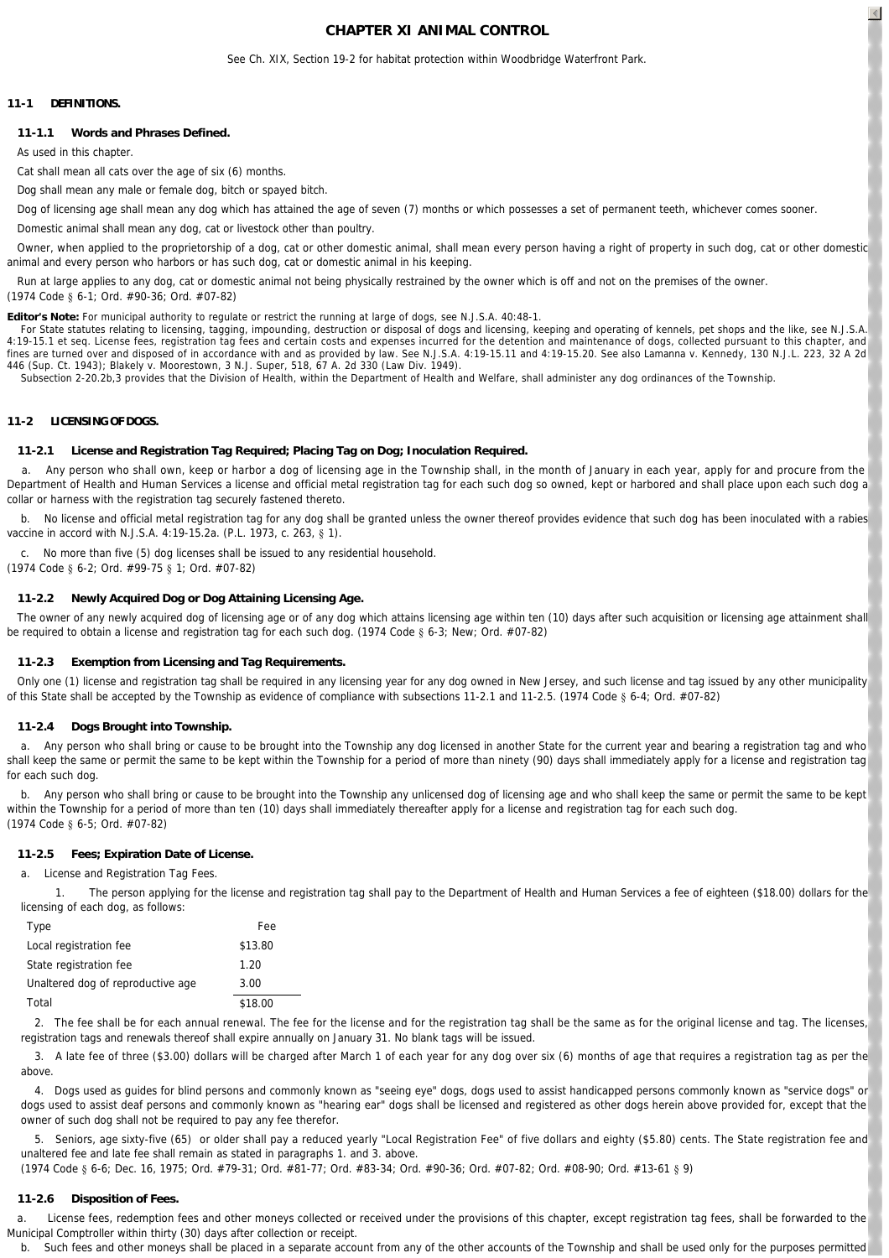## **CHAPTER XI ANIMAL CONTROL**

 $\left| \right|$ 

See Ch. XIX, Section 19-2 for habitat protection within Woodbridge Waterfront Park.

### **11-1 DEFINITIONS.**

#### **11-1.1 Words and Phrases Defined.**

As used in this chapter.

Cat shall mean all cats over the age of six (6) months

*Dog* shall mean any male or female dog, bitch or spayed bitch.

*Dog of licensing age* shall mean any dog which has attained the age of seven (7) months or which possesses a set of permanent teeth, whichever comes sooner.

*Domestic animal* shall mean any dog, cat or livestock other than poultry.

 *Owner,* when applied to the proprietorship of a dog, cat or other domestic animal, shall mean every person having a right of property in such dog, cat or other domestic animal and every person who harbors or has such dog, cat or domestic animal in his keeping.

 *Run at large* applies to any dog, cat or domestic animal not being physically restrained by the owner which is off and not on the premises of the owner. (1974 Code § 6-1; Ord. #90-36; Ord. #07-82)

**Editor's Note:** For municipal authority to regulate or restrict the running at large of dogs, see N.J.S.A. 40:48-1.

For State statutes relating to licensing, tagging, impounding, destruction or disposal of dogs and licensing, keeping and operating of kennels, pet shops and the like, see N.J.S.A 4:19-15.1 et seq. License fees, registration tag fees and certain costs and expenses incurred for the detention and maintenance of dogs, collected pursuant to this chapter, and fines are turned over and disposed of in accordance with and as provided by law. See N.J.S.A. 4:19-15.11 and 4:19-15.20. See also Lamanna v. Kennedy, 130 N.J.L. 223, 32 A 2d 446 (Sup. Ct. 1943); Blakely v. Moorestown, 3 N.J. Super, 518, 67 A. 2d 330 (Law Div. 1949).

Subsection 2-20.2b,3 provides that the Division of Health, within the Department of Health and Welfare, shall administer any dog ordinances of the Township.

### **11-2 LICENSING OF DOGS.**

#### **11-2.1 License and Registration Tag Required; Placing Tag on Dog; Inoculation Required.**

 a. Any person who shall own, keep or harbor a dog of licensing age in the Township shall, in the month of January in each year, apply for and procure from the Department of Health and Human Services a license and official metal registration tag for each such dog so owned, kept or harbored and shall place upon each such dog a collar or harness with the registration tag securely fastened thereto.

No license and official metal registration tag for any dog shall be granted unless the owner thereof provides evidence that such dog has been inoculated with a rabies vaccine in accord with N.J.S.A. 4:19-15.2a. (P.L. 1973, c. 263, § 1).

c. No more than five (5) dog licenses shall be issued to any residential household.

(1974 Code § 6-2; Ord. #99-75 § 1; Ord. #07-82)

#### **11-2.2 Newly Acquired Dog or Dog Attaining Licensing Age.**

 The owner of any newly acquired dog of licensing age or of any dog which attains licensing age within ten (10) days after such acquisition or licensing age attainment shall be required to obtain a license and registration tag for each such dog. (1974 Code § 6-3; New; Ord. #07-82)

#### **11-2.3 Exemption from Licensing and Tag Requirements.**

Only one (1) license and registration tag shall be required in any licensing year for any dog owned in New Jersey, and such license and tag issued by any other municipality of this State shall be accepted by the Township as evidence of compliance with subsections 11-2.1 and 11-2.5. (1974 Code § 6-4; Ord. #07-82)

#### **11-2.4 Dogs Brought into Township.**

 a. Any person who shall bring or cause to be brought into the Township any dog licensed in another State for the current year and bearing a registration tag and who shall keep the same or permit the same to be kept within the Township for a period of more than ninety (90) days shall immediately apply for a license and registration tag for each such dog.

b. Any person who shall bring or cause to be brought into the Township any unlicensed dog of licensing age and who shall keep the same or permit the same to be kept within the Township for a period of more than ten (10) days shall immediately thereafter apply for a license and registration tag for each such dog. (1974 Code § 6-5; Ord. #07-82)

#### **11-2.5 Fees; Expiration Date of License.**

a. *License and Registration Tag Fees.*

 1. The person applying for the license and registration tag shall pay to the Department of Health and Human Services a fee of eighteen (\$18.00) dollars for the licensing of each dog, as follows:

| Type                              | Fee     |
|-----------------------------------|---------|
| Local registration fee            | \$13.80 |
| State registration fee            | 1.20    |
| Unaltered dog of reproductive age | 3.00    |
| Total                             | \$18.00 |

2. The fee shall be for each annual renewal. The fee for the license and for the registration tag shall be the same as for the original license and tag. The licenses, registration tags and renewals thereof shall expire annually on January 31. No blank tags will be issued.

3. A late fee of three (\$3.00) dollars will be charged after March 1 of each year for any dog over six (6) months of age that requires a registration tag as per the above.

4. Dogs used as guides for blind persons and commonly known as "seeing eye" dogs, dogs used to assist handicapped persons commonly known as "service dogs" or dogs used to assist deaf persons and commonly known as "hearing ear" dogs shall be licensed and registered as other dogs herein above provided for, except that the owner of such dog shall not be required to pay any fee therefor.

5. Seniors, age sixty-five (65) or older shall pay a reduced yearly "Local Registration Fee" of five dollars and eighty (\$5.80) cents. The State registration fee and unaltered fee and late fee shall remain as stated in paragraphs 1. and 3. above.

(1974 Code § 6-6; Dec. 16, 1975; Ord. #79-31; Ord. #81-77; Ord. #83-34; Ord. #90-36; Ord. #07-82; Ord. #08-90; Ord. #13-61 § 9)

#### **11-2.6 Disposition of Fees.**

 a. License fees, redemption fees and other moneys collected or received under the provisions of this chapter, except registration tag fees, shall be forwarded to the Municipal Comptroller within thirty (30) days after collection or receipt.

b. Such fees and other moneys shall be placed in a separate account from any of the other accounts of the Township and shall be used only for the purposes permitted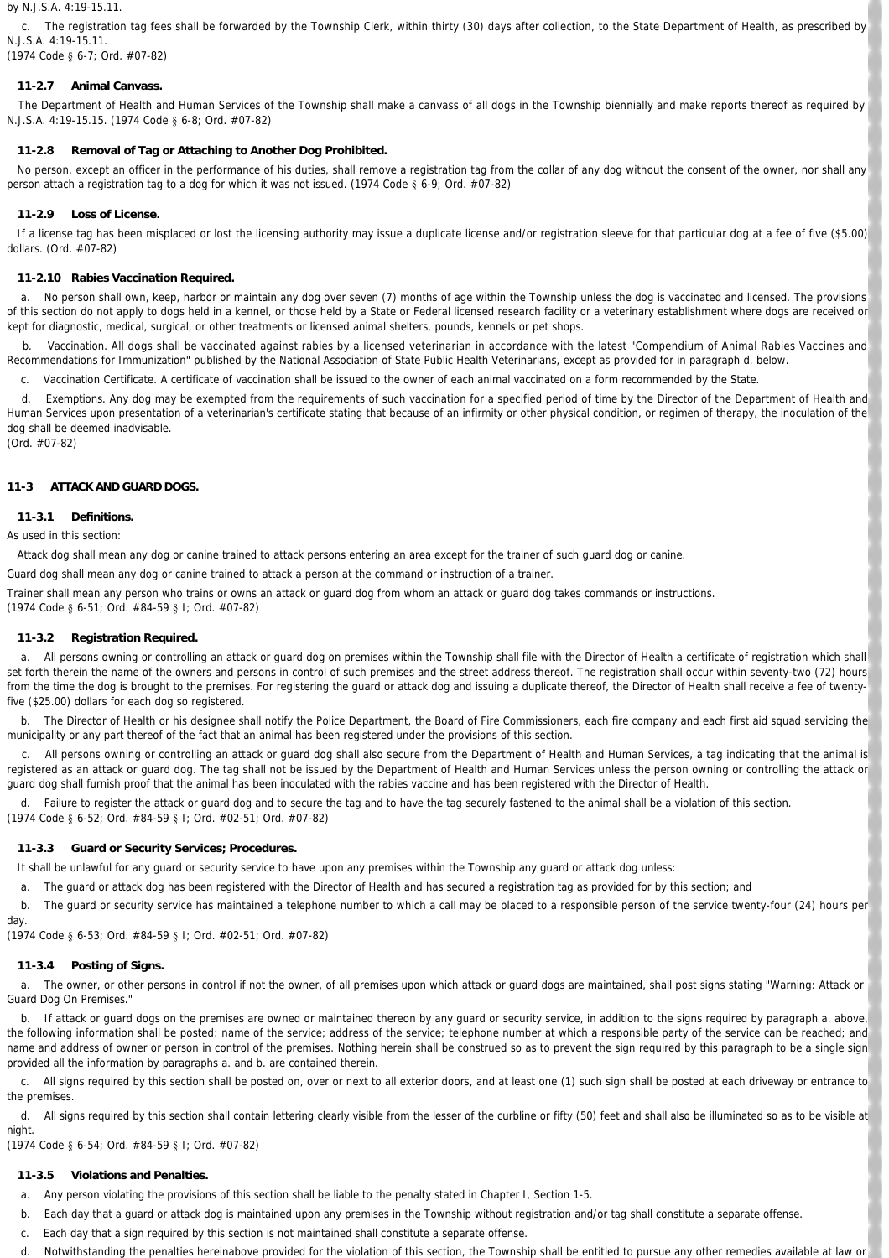#### by N.J.S.A. 4:19-15.11.

 c. The registration tag fees shall be forwarded by the Township Clerk, within thirty (30) days after collection, to the State Department of Health, as prescribed by N.J.S.A. 4:19-15.11.

(1974 Code § 6-7; Ord. #07-82)

# **11-2.7 Animal Canvass.**

 The Department of Health and Human Services of the Township shall make a canvass of all dogs in the Township biennially and make reports thereof as required by N.J.S.A. 4:19-15.15. (1974 Code § 6-8; Ord. #07-82)

# **11-2.8 Removal of Tag or Attaching to Another Dog Prohibited.**

No person, except an officer in the performance of his duties, shall remove a registration tag from the collar of any dog without the consent of the owner, nor shall any person attach a registration tag to a dog for which it was not issued. (1974 Code § 6-9; Ord. #07-82)

# **11-2.9 Loss of License.**

 If a license tag has been misplaced or lost the licensing authority may issue a duplicate license and/or registration sleeve for that particular dog at a fee of five (\$5.00) dollars. (Ord. #07-82)

# **11-2.10 Rabies Vaccination Required.**

 a. No person shall own, keep, harbor or maintain any dog over seven (7) months of age within the Township unless the dog is vaccinated and licensed. The provisions of this section do not apply to dogs held in a kennel, or those held by a State or Federal licensed research facility or a veterinary establishment where dogs are received or kept for diagnostic, medical, surgical, or other treatments or licensed animal shelters, pounds, kennels or pet shops.

 b. *Vaccination.* All dogs shall be vaccinated against rabies by a licensed veterinarian in accordance with the latest "Compendium of Animal Rabies Vaccines and Recommendations for Immunization" published by the National Association of State Public Health Veterinarians, except as provided for in paragraph d. below.

c. *Vaccination Certificate.* A certificate of vaccination shall be issued to the owner of each animal vaccinated on a form recommended by the State.

 d. *Exemptions.* Any dog may be exempted from the requirements of such vaccination for a specified period of time by the Director of the Department of Health and Human Services upon presentation of a veterinarian's certificate stating that because of an infirmity or other physical condition, or regimen of therapy, the inoculation of the dog shall be deemed inadvisable.

(Ord. #07-82)

## **11-3 ATTACK AND GUARD DOGS.**

## **11-3.1 Definitions.**

As used in this section:

*Attack dog* shall mean any dog or canine trained to attack persons entering an area except for the trainer of such guard dog or canine.

*Guard dog* shall mean any dog or canine trained to attack a person at the command or instruction of a trainer.

*Trainer* shall mean any person who trains or owns an attack or guard dog from whom an attack or guard dog takes commands or instructions. (1974 Code § 6-51; Ord. #84-59 § I; Ord. #07-82)

## **11-3.2 Registration Required.**

 a. All persons owning or controlling an attack or guard dog on premises within the Township shall file with the Director of Health a certificate of registration which shall set forth therein the name of the owners and persons in control of such premises and the street address thereof. The registration shall occur within seventy-two (72) hours from the time the dog is brought to the premises. For registering the guard or attack dog and issuing a duplicate thereof, the Director of Health shall receive a fee of twentyfive (\$25.00) dollars for each dog so registered.

b. The Director of Health or his designee shall notify the Police Department, the Board of Fire Commissioners, each fire company and each first aid squad servicing the municipality or any part thereof of the fact that an animal has been registered under the provisions of this section.

 c. All persons owning or controlling an attack or guard dog shall also secure from the Department of Health and Human Services, a tag indicating that the animal is registered as an attack or guard dog. The tag shall not be issued by the Department of Health and Human Services unless the person owning or controlling the attack or guard dog shall furnish proof that the animal has been inoculated with the rabies vaccine and has been registered with the Director of Health.

Failure to register the attack or guard dog and to secure the tag and to have the tag securely fastened to the animal shall be a violation of this section. (1974 Code § 6-52; Ord. #84-59 § I; Ord. #02-51; Ord. #07-82)

## **11-3.3 Guard or Security Services; Procedures.**

It shall be unlawful for any guard or security service to have upon any premises within the Township any guard or attack dog unless:

a. The guard or attack dog has been registered with the Director of Health and has secured a registration tag as provided for by this section; and

 b. The guard or security service has maintained a telephone number to which a call may be placed to a responsible person of the service twenty-four (24) hours per day.

(1974 Code § 6-53; Ord. #84-59 § I; Ord. #02-51; Ord. #07-82)

# **11-3.4 Posting of Signs.**

 a. The owner, or other persons in control if not the owner, of all premises upon which attack or guard dogs are maintained, shall post signs stating "Warning: Attack or Guard Dog On Premises."

 b. If attack or guard dogs on the premises are owned or maintained thereon by any guard or security service, in addition to the signs required by paragraph a. above, the following information shall be posted: name of the service; address of the service; telephone number at which a responsible party of the service can be reached; and name and address of owner or person in control of the premises. Nothing herein shall be construed so as to prevent the sign required by this paragraph to be a single sign provided all the information by paragraphs a. and b. are contained therein.

 c. All signs required by this section shall be posted on, over or next to all exterior doors, and at least one (1) such sign shall be posted at each driveway or entrance to the premises.

 d. All signs required by this section shall contain lettering clearly visible from the lesser of the curbline or fifty (50) feet and shall also be illuminated so as to be visible at night.

(1974 Code § 6-54; Ord. #84-59 § I; Ord. #07-82)

# **11-3.5 Violations and Penalties.**

- a. Any person violating the provisions of this section shall be liable to the penalty stated in Chapter I, Section 1-5.
- b. Each day that a guard or attack dog is maintained upon any premises in the Township without registration and/or tag shall constitute a separate offense.
- c. Each day that a sign required by this section is not maintained shall constitute a separate offense.
- d. Notwithstanding the penalties hereinabove provided for the violation of this section, the Township shall be entitled to pursue any other remedies available at law or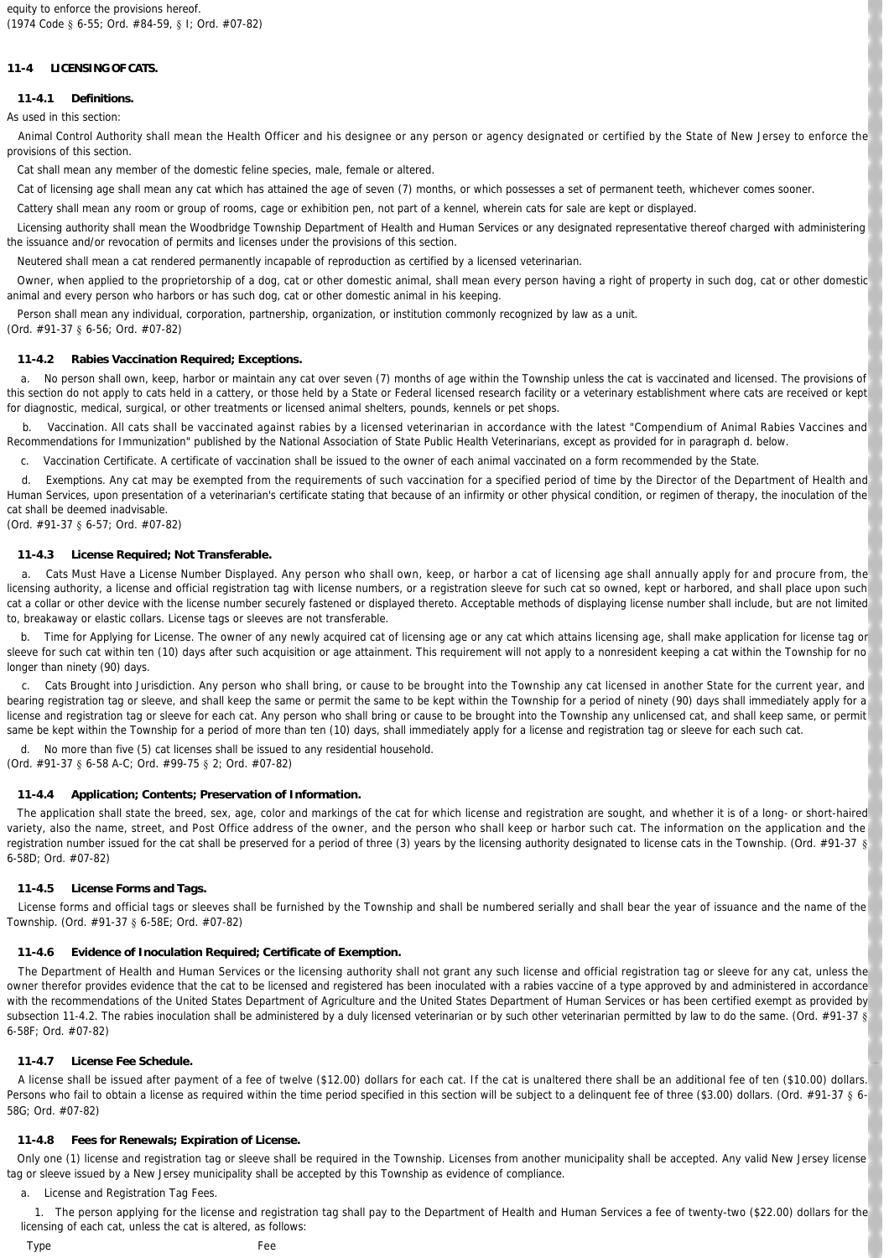## **11-4 LICENSING OF CATS.**

## **11-4.1 Definitions.**

As used in this section:

 *Animal Control Authority* shall mean the Health Officer and his designee or any person or agency designated or certified by the State of New Jersey to enforce the provisions of this section.

*Cat* shall mean any member of the domestic feline species, male, female or altered.

*Cat of licensing age* shall mean any cat which has attained the age of seven (7) months, or which possesses a set of permanent teeth, whichever comes sooner.

*Cattery* shall mean any room or group of rooms, cage or exhibition pen, not part of a kennel, wherein cats for sale are kept or displayed.

 *Licensing authority* shall mean the Woodbridge Township Department of Health and Human Services or any designated representative thereof charged with administering the issuance and/or revocation of permits and licenses under the provisions of this section.

*Neutered* shall mean a cat rendered permanently incapable of reproduction as certified by a licensed veterinarian.

 *Owner,* when applied to the proprietorship of a dog, cat or other domestic animal, shall mean every person having a right of property in such dog, cat or other domestic animal and every person who harbors or has such dog, cat or other domestic animal in his keeping.

*Person* shall mean any individual, corporation, partnership, organization, or institution commonly recognized by law as a unit.

(Ord. #91-37 § 6-56; Ord. #07-82)

### **11-4.2 Rabies Vaccination Required; Exceptions.**

 a. No person shall own, keep, harbor or maintain any cat over seven (7) months of age within the Township unless the cat is vaccinated and licensed. The provisions of this section do not apply to cats held in a cattery, or those held by a State or Federal licensed research facility or a veterinary establishment where cats are received or kept for diagnostic, medical, surgical, or other treatments or licensed animal shelters, pounds, kennels or pet shops.

b. Vaccination. All cats shall be vaccinated against rabies by a licensed veterinarian in accordance with the latest "Compendium of Animal Rabies Vaccines and Recommendations for Immunization" published by the National Association of State Public Health Veterinarians, except as provided for in paragraph d. below.

c. *Vaccination Certificate.* A certificate of vaccination shall be issued to the owner of each animal vaccinated on a form recommended by the State.

 d. *Exemptions.* Any cat may be exempted from the requirements of such vaccination for a specified period of time by the Director of the Department of Health and Human Services, upon presentation of a veterinarian's certificate stating that because of an infirmity or other physical condition, or regimen of therapy, the inoculation of the cat shall be deemed inadvisable.

(Ord. #91-37 § 6-57; Ord. #07-82)

### **11-4.3 License Required; Not Transferable.**

 a. *Cats Must Have a License Number Displayed.* Any person who shall own, keep, or harbor a cat of licensing age shall annually apply for and procure from, the licensing authority, a license and official registration tag with license numbers, or a registration sleeve for such cat so owned, kept or harbored, and shall place upon such cat a collar or other device with the license number securely fastened or displayed thereto. Acceptable methods of displaying license number shall include, but are not limited to, breakaway or elastic collars. License tags or sleeves are not transferable.

 b. *Time for Applying for License.* The owner of any newly acquired cat of licensing age or any cat which attains licensing age, shall make application for license tag or sleeve for such cat within ten (10) days after such acquisition or age attainment. This requirement will not apply to a nonresident keeping a cat within the Township for no longer than ninety (90) days.

 c. *Cats Brought into Jurisdiction.* Any person who shall bring, or cause to be brought into the Township any cat licensed in another State for the current year, and bearing registration tag or sleeve, and shall keep the same or permit the same to be kept within the Township for a period of ninety (90) days shall immediately apply for a license and registration tag or sleeve for each cat. Any person who shall bring or cause to be brought into the Township any unlicensed cat, and shall keep same, or permit same be kept within the Township for a period of more than ten (10) days, shall immediately apply for a license and registration tag or sleeve for each such cat.

 d. No more than five (5) cat licenses shall be issued to any residential household. (Ord. #91-37 § 6-58 A-C; Ord. #99-75 § 2; Ord. #07-82)

### **11-4.4 Application; Contents; Preservation of Information.**

 The application shall state the breed, sex, age, color and markings of the cat for which license and registration are sought, and whether it is of a long- or short-haired variety, also the name, street, and Post Office address of the owner, and the person who shall keep or harbor such cat. The information on the application and the registration number issued for the cat shall be preserved for a period of three (3) years by the licensing authority designated to license cats in the Township. (Ord. #91-37 § 6-58D; Ord. #07-82)

## **11-4.5 License Forms and Tags.**

License forms and official tags or sleeves shall be furnished by the Township and shall be numbered serially and shall bear the year of issuance and the name of the Township. (Ord. #91-37 § 6-58E; Ord. #07-82)

## **11-4.6 Evidence of Inoculation Required; Certificate of Exemption.**

 The Department of Health and Human Services or the licensing authority shall not grant any such license and official registration tag or sleeve for any cat, unless the owner therefor provides evidence that the cat to be licensed and registered has been inoculated with a rabies vaccine of a type approved by and administered in accordance with the recommendations of the United States Department of Agriculture and the United States Department of Human Services or has been certified exempt as provided by subsection 11-4.2. The rabies inoculation shall be administered by a duly licensed veterinarian or by such other veterinarian permitted by law to do the same. (Ord. #91-37 § 6-58F; Ord.  $#07-82$ )

### **11-4.7 License Fee Schedule.**

 A license shall be issued after payment of a fee of twelve (\$12.00) dollars for each cat. If the cat is unaltered there shall be an additional fee of ten (\$10.00) dollars. Persons who fail to obtain a license as required within the time period specified in this section will be subject to a delinquent fee of three (\$3.00) dollars. (Ord. #91-37 § 6-58G; Ord. #07-82)

### **11-4.8 Fees for Renewals; Expiration of License.**

 Only one (1) license and registration tag or sleeve shall be required in the Township. Licenses from another municipality shall be accepted. Any valid New Jersey license tag or sleeve issued by a New Jersey municipality shall be accepted by this Township as evidence of compliance.

a. *License and Registration Tag Fees.*

1. The person applying for the license and registration tag shall pay to the Department of Health and Human Services a fee of twenty-two (\$22.00) dollars for the licensing of each cat, unless the cat is altered, as follows:

*Type Fee*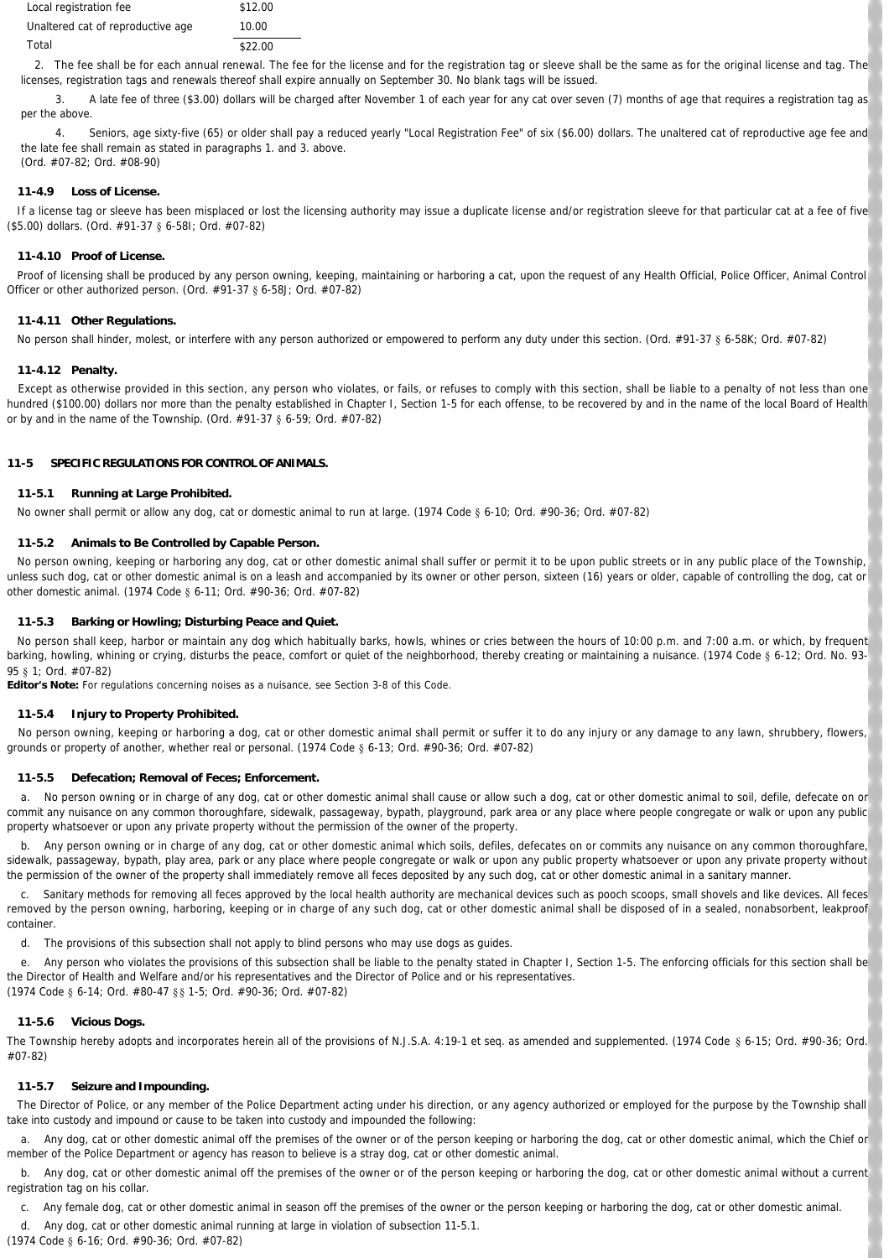| Local registration fee            | \$12.00 |
|-----------------------------------|---------|
| Unaltered cat of reproductive age | 10.00   |
| Total                             | \$22.00 |

2. The fee shall be for each annual renewal. The fee for the license and for the registration tag or sleeve shall be the same as for the original license and tag. The licenses, registration tags and renewals thereof shall expire annually on September 30. No blank tags will be issued.

 3. A late fee of three (\$3.00) dollars will be charged after November 1 of each year for any cat over seven (7) months of age that requires a registration tag as per the above.

 4. Seniors, age sixty-five (65) or older shall pay a reduced yearly "Local Registration Fee" of six (\$6.00) dollars. The unaltered cat of reproductive age fee and the late fee shall remain as stated in paragraphs 1. and 3. above. (Ord. #07-82; Ord. #08-90)

## **11-4.9 Loss of License.**

 If a license tag or sleeve has been misplaced or lost the licensing authority may issue a duplicate license and/or registration sleeve for that particular cat at a fee of five (\$5.00) dollars. (Ord. #91-37 § 6-58I; Ord. #07-82)

### **11-4.10 Proof of License.**

Proof of licensing shall be produced by any person owning, keeping, maintaining or harboring a cat, upon the request of any Health Official, Police Officer, Animal Control Officer or other authorized person. (Ord. #91-37 § 6-58J; Ord. #07-82)

### **11-4.11 Other Regulations.**

No person shall hinder, molest, or interfere with any person authorized or empowered to perform any duty under this section. (Ord. #91-37 § 6-58K; Ord. #07-82)

### **11-4.12 Penalty.**

 Except as otherwise provided in this section, any person who violates, or fails, or refuses to comply with this section, shall be liable to a penalty of not less than one hundred (\$100.00) dollars nor more than the penalty established in Chapter I, Section 1-5 for each offense, to be recovered by and in the name of the local Board of Health or by and in the name of the Township. (Ord. #91-37 § 6-59; Ord. #07-82)

## **11-5 SPECIFIC REGULATIONS FOR CONTROL OF ANIMALS.**

### **11-5.1 Running at Large Prohibited.**

No owner shall permit or allow any dog, cat or domestic animal to run at large. (1974 Code § 6-10; Ord. #90-36; Ord. #07-82)

### **11-5.2 Animals to Be Controlled by Capable Person.**

No person owning, keeping or harboring any dog, cat or other domestic animal shall suffer or permit it to be upon public streets or in any public place of the Township, unless such dog, cat or other domestic animal is on a leash and accompanied by its owner or other person, sixteen (16) years or older, capable of controlling the dog, cat or other domestic animal. (1974 Code § 6-11; Ord. #90-36; Ord. #07-82)

### **11-5.3 Barking or Howling; Disturbing Peace and Quiet.**

 No person shall keep, harbor or maintain any dog which habitually barks, howls, whines or cries between the hours of 10:00 p.m. and 7:00 a.m. or which, by frequent barking, howling, whining or crying, disturbs the peace, comfort or quiet of the neighborhood, thereby creating or maintaining a nuisance. (1974 Code § 6-12; Ord. No. 93-95 § 1; Ord. #07-82)

**Editor's Note:** For regulations concerning noises as a nuisance, see Section 3-8 of this Code.

### **11-5.4 Injury to Property Prohibited.**

 No person owning, keeping or harboring a dog, cat or other domestic animal shall permit or suffer it to do any injury or any damage to any lawn, shrubbery, flowers, grounds or property of another, whether real or personal. (1974 Code § 6-13; Ord. #90-36; Ord. #07-82)

### **11-5.5 Defecation; Removal of Feces; Enforcement.**

 a. No person owning or in charge of any dog, cat or other domestic animal shall cause or allow such a dog, cat or other domestic animal to soil, defile, defecate on or commit any nuisance on any common thoroughfare, sidewalk, passageway, bypath, playground, park area or any place where people congregate or walk or upon any public property whatsoever or upon any private property without the permission of the owner of the property.

b. Any person owning or in charge of any dog, cat or other domestic animal which soils, defiles, defecates on or commits any nuisance on any common thoroughfare, sidewalk, passageway, bypath, play area, park or any place where people congregate or walk or upon any public property whatsoever or upon any private property without the permission of the owner of the property shall immediately remove all feces deposited by any such dog, cat or other domestic animal in a sanitary manner.

 c. Sanitary methods for removing all feces approved by the local health authority are mechanical devices such as pooch scoops, small shovels and like devices. All feces removed by the person owning, harboring, keeping or in charge of any such dog, cat or other domestic animal shall be disposed of in a sealed, nonabsorbent, leakproof container.

d. The provisions of this subsection shall not apply to blind persons who may use dogs as guides.

 e. Any person who violates the provisions of this subsection shall be liable to the penalty stated in Chapter I, Section 1-5. The enforcing officials for this section shall be the Director of Health and Welfare and/or his representatives and the Director of Police and or his representatives. (1974 Code § 6-14; Ord. #80-47 §§ 1-5; Ord. #90-36; Ord. #07-82)

### **11-5.6 Vicious Dogs.**

The Township hereby adopts and incorporates herein all of the provisions of N.J.S.A. 4:19-1 et seq. as amended and supplemented. (1974 Code § 6-15; Ord. #90-36; Ord. #07-82)

## **11-5.7 Seizure and Impounding.**

 The Director of Police, or any member of the Police Department acting under his direction, or any agency authorized or employed for the purpose by the Township shall take into custody and impound or cause to be taken into custody and impounded the following:

a. Any dog, cat or other domestic animal off the premises of the owner or of the person keeping or harboring the dog, cat or other domestic animal, which the Chief or member of the Police Department or agency has reason to believe is a stray dog, cat or other domestic animal.

 b. Any dog, cat or other domestic animal off the premises of the owner or of the person keeping or harboring the dog, cat or other domestic animal without a current registration tag on his collar.

c. Any female dog, cat or other domestic animal in season off the premises of the owner or the person keeping or harboring the dog, cat or other domestic animal.

 d. Any dog, cat or other domestic animal running at large in violation of subsection 11-5.1. (1974 Code § 6-16; Ord. #90-36; Ord. #07-82)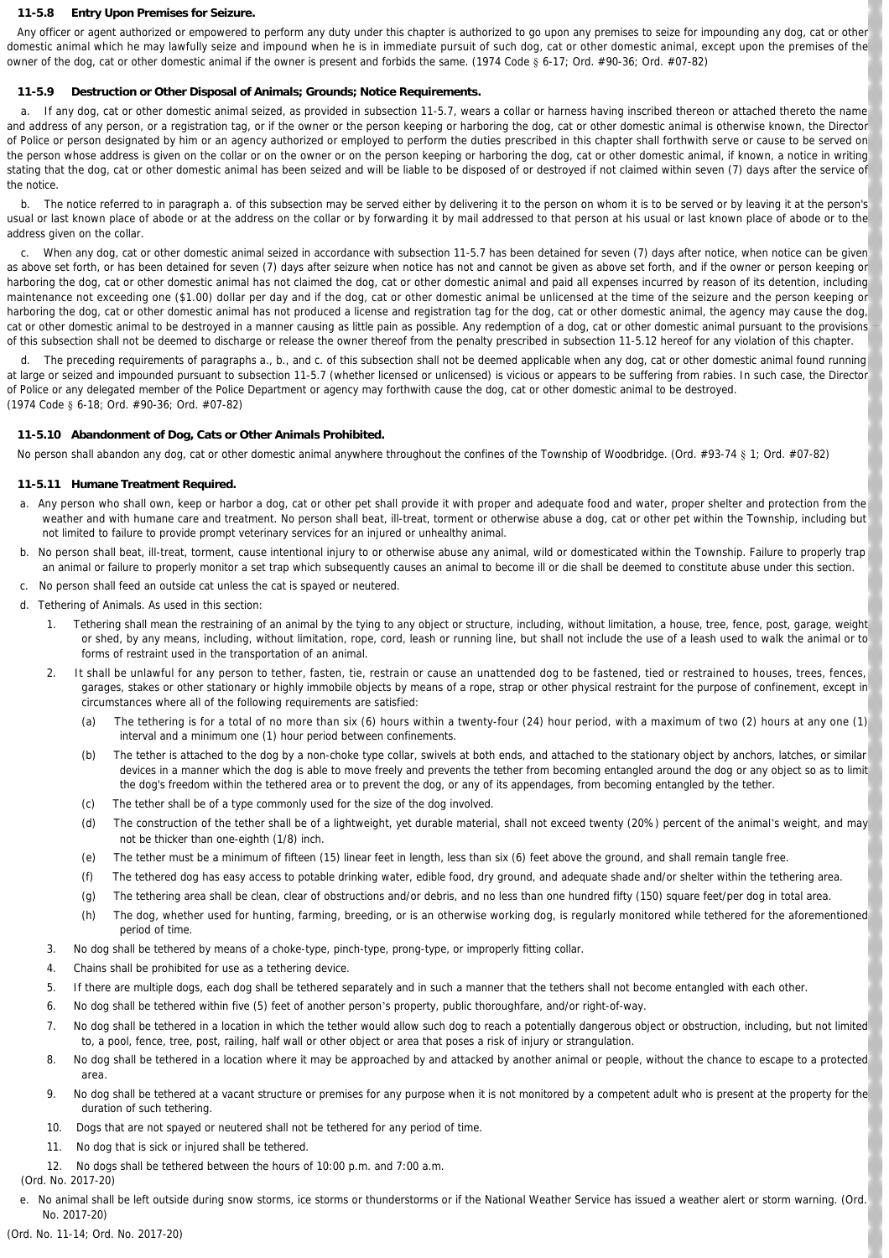#### **11-5.8 Entry Upon Premises for Seizure.**

 Any officer or agent authorized or empowered to perform any duty under this chapter is authorized to go upon any premises to seize for impounding any dog, cat or other domestic animal which he may lawfully seize and impound when he is in immediate pursuit of such dog, cat or other domestic animal, except upon the premises of the owner of the dog, cat or other domestic animal if the owner is present and forbids the same. (1974 Code § 6-17; Ord. #90-36; Ord. #07-82)

## **11-5.9 Destruction or Other Disposal of Animals; Grounds; Notice Requirements.**

a. If any dog, cat or other domestic animal seized, as provided in subsection 11-5.7, wears a collar or harness having inscribed thereon or attached thereto the name and address of any person, or a registration tag, or if the owner or the person keeping or harboring the dog, cat or other domestic animal is otherwise known, the Director of Police or person designated by him or an agency authorized or employed to perform the duties prescribed in this chapter shall forthwith serve or cause to be served on the person whose address is given on the collar or on the owner or on the person keeping or harboring the dog, cat or other domestic animal, if known, a notice in writing stating that the dog, cat or other domestic animal has been seized and will be liable to be disposed of or destroyed if not claimed within seven (7) days after the service of the notice.

 b. The notice referred to in paragraph a. of this subsection may be served either by delivering it to the person on whom it is to be served or by leaving it at the person's usual or last known place of abode or at the address on the collar or by forwarding it by mail addressed to that person at his usual or last known place of abode or to the address given on the collar.

 c. When any dog, cat or other domestic animal seized in accordance with subsection 11-5.7 has been detained for seven (7) days after notice, when notice can be given as above set forth, or has been detained for seven (7) days after seizure when notice has not and cannot be given as above set forth, and if the owner or person keeping or harboring the dog, cat or other domestic animal has not claimed the dog, cat or other domestic animal and paid all expenses incurred by reason of its detention, including maintenance not exceeding one (\$1.00) dollar per day and if the dog, cat or other domestic animal be unlicensed at the time of the seizure and the person keeping or harboring the dog, cat or other domestic animal has not produced a license and registration tag for the dog, cat or other domestic animal, the agency may cause the dog, cat or other domestic animal to be destroyed in a manner causing as little pain as possible. Any redemption of a dog, cat or other domestic animal pursuant to the provisions of this subsection shall not be deemed to discharge or release the owner thereof from the penalty prescribed in subsection 11-5.12 hereof for any violation of this chapter.

 d. The preceding requirements of paragraphs a., b., and c. of this subsection shall not be deemed applicable when any dog, cat or other domestic animal found running at large or seized and impounded pursuant to subsection 11-5.7 (whether licensed or unlicensed) is vicious or appears to be suffering from rabies. In such case, the Director of Police or any delegated member of the Police Department or agency may forthwith cause the dog, cat or other domestic animal to be destroyed. (1974 Code § 6-18; Ord. #90-36; Ord. #07-82)

### **11-5.10 Abandonment of Dog, Cats or Other Animals Prohibited.**

No person shall abandon any dog, cat or other domestic animal anywhere throughout the confines of the Township of Woodbridge. (Ord. #93-74 § 1; Ord. #07-82)

### **11-5.11 Humane Treatment Required.**

- a. Any person who shall own, keep or harbor a dog, cat or other pet shall provide it with proper and adequate food and water, proper shelter and protection from the weather and with humane care and treatment. No person shall beat, ill-treat, torment or otherwise abuse a dog, cat or other pet within the Township, including but not limited to failure to provide prompt veterinary services for an injured or unhealthy animal.
- b. No person shall beat, ill-treat, torment, cause intentional injury to or otherwise abuse any animal, wild or domesticated within the Township. Failure to properly trap an animal or failure to properly monitor a set trap which subsequently causes an animal to become ill or die shall be deemed to constitute abuse under this section.
- c. No person shall feed an outside cat unless the cat is spayed or neutered.
- d. *Tethering of Animals.* As used in this section:
	- 1. Tethering shall mean the restraining of an animal by the tying to any object or structure, including, without limitation, a house, tree, fence, post, garage, weight or shed, by any means, including, without limitation, rope, cord, leash or running line, but shall not include the use of a leash used to walk the animal or to forms of restraint used in the transportation of an animal.
	- 2. It shall be unlawful for any person to tether, fasten, tie, restrain or cause an unattended dog to be fastened, tied or restrained to houses, trees, fences, garages, stakes or other stationary or highly immobile objects by means of a rope, strap or other physical restraint for the purpose of confinement, except in circumstances where all of the following requirements are satisfied:
		- (a) The tethering is for a total of no more than six (6) hours within a twenty-four (24) hour period, with a maximum of two (2) hours at any one (1) interval and a minimum one (1) hour period between confinements.
		- (b) The tether is attached to the dog by a non-choke type collar, swivels at both ends, and attached to the stationary object by anchors, latches, or similar devices in a manner which the dog is able to move freely and prevents the tether from becoming entangled around the dog or any object so as to limit the dog's freedom within the tethered area or to prevent the dog, or any of its appendages, from becoming entangled by the tether.
		- (c) The tether shall be of a type commonly used for the size of the dog involved.
		- (d) The construction of the tether shall be of a lightweight, yet durable material, shall not exceed twenty (20%) percent of the animal's weight, and may not be thicker than one-eighth (1/8) inch.
		- (e) The tether must be a minimum of fifteen (15) linear feet in length, less than six (6) feet above the ground, and shall remain tangle free.
		- (f) The tethered dog has easy access to potable drinking water, edible food, dry ground, and adequate shade and/or shelter within the tethering area.
		- (g) The tethering area shall be clean, clear of obstructions and/or debris, and no less than one hundred fifty (150) square feet/per dog in total area.
		- (h) The dog, whether used for hunting, farming, breeding, or is an otherwise working dog, is regularly monitored while tethered for the aforementioned period of time.
	- 3. No dog shall be tethered by means of a choke-type, pinch-type, prong-type, or improperly fitting collar.
	- 4. Chains shall be prohibited for use as a tethering device.
	- 5. If there are multiple dogs, each dog shall be tethered separately and in such a manner that the tethers shall not become entangled with each other.
	- 6. No dog shall be tethered within five (5) feet of another person's property, public thoroughfare, and/or right-of-way.
	- 7. No dog shall be tethered in a location in which the tether would allow such dog to reach a potentially dangerous object or obstruction, including, but not limited to, a pool, fence, tree, post, railing, half wall or other object or area that poses a risk of injury or strangulation.
	- 8. No dog shall be tethered in a location where it may be approached by and attacked by another animal or people, without the chance to escape to a protected area.
	- 9. No dog shall be tethered at a vacant structure or premises for any purpose when it is not monitored by a competent adult who is present at the property for the duration of such tethering.
	- 10. Dogs that are not spayed or neutered shall not be tethered for any period of time.
	- 11. No dog that is sick or injured shall be tethered.
	- 12. No dogs shall be tethered between the hours of 10:00 p.m. and 7:00 a.m.

(Ord. No. 2017-20)

e. No animal shall be left outside during snow storms, ice storms or thunderstorms or if the National Weather Service has issued a weather alert or storm warning. (Ord. No. 2017-20)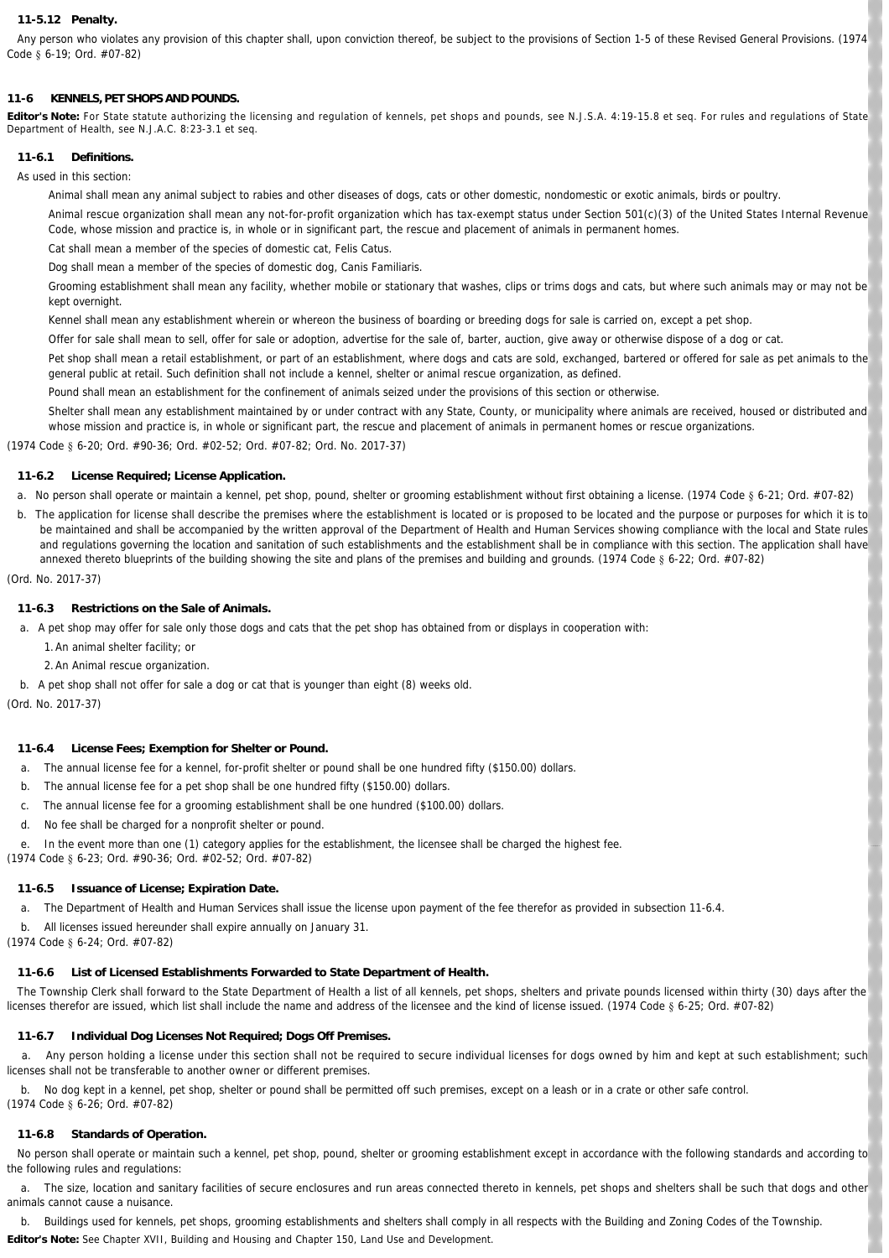### **11-5.12 Penalty.**

 Any person who violates any provision of this chapter shall, upon conviction thereof, be subject to the provisions of Section 1-5 of these Revised General Provisions. (1974 Code § 6-19; Ord. #07-82)

# **11-6 KENNELS, PET SHOPS AND POUNDS.**

**Editor's Note:** For State statute authorizing the licensing and regulation of kennels, pet shops and pounds, see N.J.S.A. 4:19-15.8 et seq. For rules and regulations of State Department of Health, see N.J.A.C. 8:23-3.1 et seq.

# **11-6.1 Definitions.**

As used in this section:

*Animal* shall mean any animal subject to rabies and other diseases of dogs, cats or other domestic, nondomestic or exotic animals, birds or poultry.

*Animal rescue organization* shall mean any not-for-profit organization which has tax-exempt status under Section 501(c)(3) of the United States Internal Revenue Code, whose mission and practice is, in whole or in significant part, the rescue and placement of animals in permanent homes.

*Cat* shall mean a member of the species of domestic cat, Felis Catus.

*Dog* shall mean a member of the species of domestic dog, Canis Familiaris.

*Grooming establishment* shall mean any facility, whether mobile or stationary that washes, clips or trims dogs and cats, but where such animals may or may not be kept overnight.

*Kennel* shall mean any establishment wherein or whereon the business of boarding or breeding dogs for sale is carried on, except a pet shop.

*Offer for sale* shall mean to sell, offer for sale or adoption, advertise for the sale of, barter, auction, give away or otherwise dispose of a dog or cat.

*Pet shop* shall mean a retail establishment, or part of an establishment, where dogs and cats are sold, exchanged, bartered or offered for sale as pet animals to the general public at retail. Such definition shall not include a kennel, shelter or animal rescue organization, as defined.

Pound shall mean an establishment for the confinement of animals seized under the provisions of this section or otherwise.

*Shelter* shall mean any establishment maintained by or under contract with any State, County, or municipality where animals are received, housed or distributed and whose mission and practice is, in whole or significant part, the rescue and placement of animals in permanent homes or rescue organizations.

(1974 Code § 6-20; Ord. #90-36; Ord. #02-52; Ord. #07-82; Ord. No. 2017-37)

## **11-6.2 License Required; License Application.**

a. No person shall operate or maintain a kennel, pet shop, pound, shelter or grooming establishment without first obtaining a license. (1974 Code § 6-21; Ord. #07-82)

b. The application for license shall describe the premises where the establishment is located or is proposed to be located and the purpose or purposes for which it is to be maintained and shall be accompanied by the written approval of the Department of Health and Human Services showing compliance with the local and State rules and regulations governing the location and sanitation of such establishments and the establishment shall be in compliance with this section. The application shall have annexed thereto blueprints of the building showing the site and plans of the premises and building and grounds. (1974 Code § 6-22; Ord. #07-82)

(Ord. No. 2017-37)

### **11-6.3 Restrictions on the Sale of Animals.**

a. A pet shop may offer for sale only those dogs and cats that the pet shop has obtained from or displays in cooperation with:

- 1. An animal shelter facility; or
- 2. An Animal rescue organization.
- b. A pet shop shall not offer for sale a dog or cat that is younger than eight (8) weeks old.

(Ord. No. 2017-37)

## **11-6.4 License Fees; Exemption for Shelter or Pound.**

- a. The annual license fee for a kennel, for-profit shelter or pound shall be one hundred fifty (\$150.00) dollars.
- b. The annual license fee for a pet shop shall be one hundred fifty (\$150.00) dollars.
- c. The annual license fee for a grooming establishment shall be one hundred (\$100.00) dollars.
- d. No fee shall be charged for a nonprofit shelter or pound.
- e. In the event more than one (1) category applies for the establishment, the licensee shall be charged the highest fee.
- (1974 Code § 6-23; Ord. #90-36; Ord. #02-52; Ord. #07-82)

## **11-6.5 Issuance of License; Expiration Date.**

a. The Department of Health and Human Services shall issue the license upon payment of the fee therefor as provided in subsection 11-6.4.

b. All licenses issued hereunder shall expire annually on January 31.

(1974 Code § 6-24; Ord. #07-82)

## **11-6.6 List of Licensed Establishments Forwarded to State Department of Health.**

 The Township Clerk shall forward to the State Department of Health a list of all kennels, pet shops, shelters and private pounds licensed within thirty (30) days after the licenses therefor are issued, which list shall include the name and address of the licensee and the kind of license issued. (1974 Code § 6-25; Ord. #07-82)

# **11-6.7 Individual Dog Licenses Not Required; Dogs Off Premises.**

Any person holding a license under this section shall not be required to secure individual licenses for dogs owned by him and kept at such establishment; such licenses shall not be transferable to another owner or different premises.

 b. No dog kept in a kennel, pet shop, shelter or pound shall be permitted off such premises, except on a leash or in a crate or other safe control. (1974 Code § 6-26; Ord. #07-82)

## **11-6.8 Standards of Operation.**

No person shall operate or maintain such a kennel, pet shop, pound, shelter or grooming establishment except in accordance with the following standards and according to the following rules and regulations:

 a. The size, location and sanitary facilities of secure enclosures and run areas connected thereto in kennels, pet shops and shelters shall be such that dogs and other animals cannot cause a nuisance.

 b. Buildings used for kennels, pet shops, grooming establishments and shelters shall comply in all respects with the Building and Zoning Codes of the Township. **Editor's Note:** See Chapter XVII, Building and Housing and Chapter 150, Land Use and Development.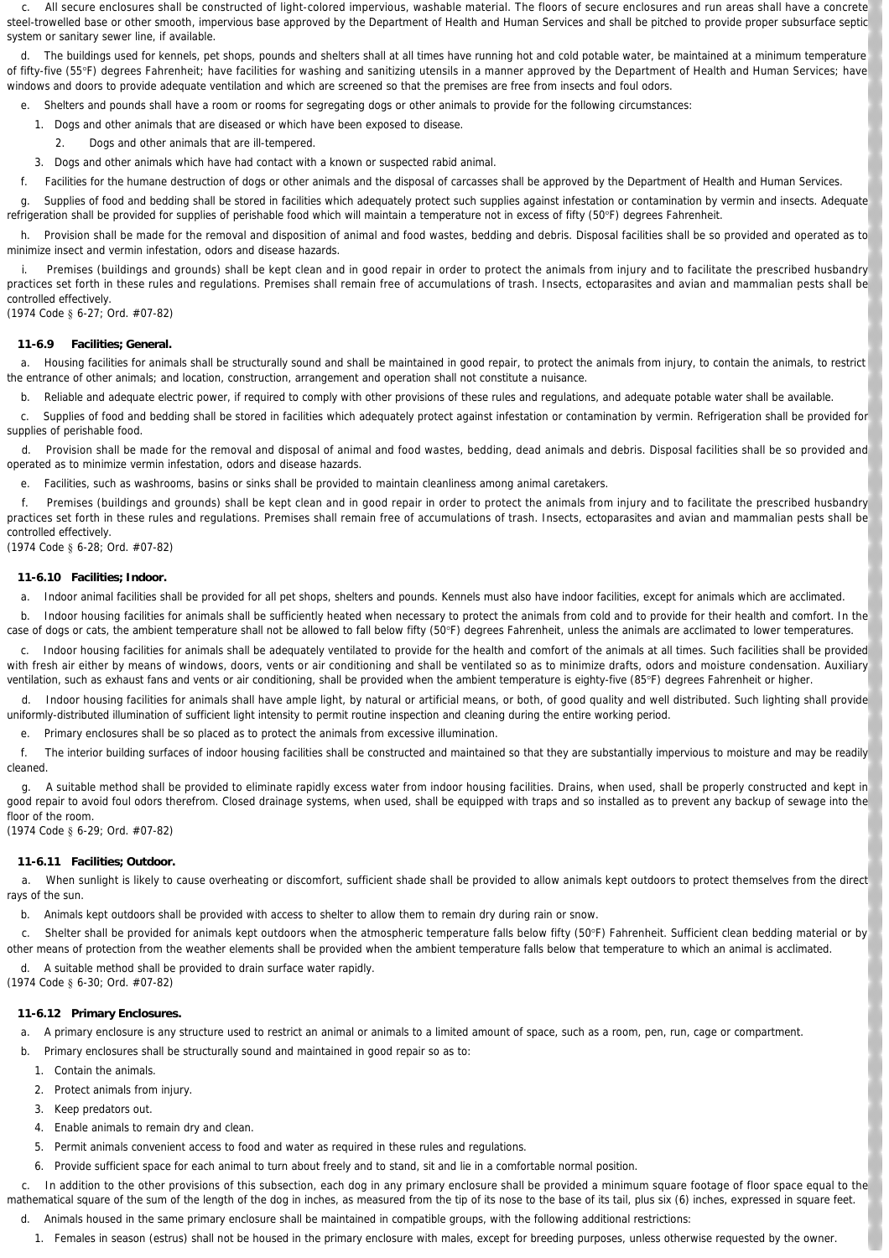All secure enclosures shall be constructed of light-colored impervious, washable material. The floors of secure enclosures and run areas shall have a concrete steel-trowelled base or other smooth, impervious base approved by the Department of Health and Human Services and shall be pitched to provide proper subsurface septic system or sanitary sewer line, if available.

 d. The buildings used for kennels, pet shops, pounds and shelters shall at all times have running hot and cold potable water, be maintained at a minimum temperature of fifty-five (55°F) degrees Fahrenheit; have facilities for washing and sanitizing utensils in a manner approved by the Department of Health and Human Services; have windows and doors to provide adequate ventilation and which are screened so that the premises are free from insects and foul odors.

e. Shelters and pounds shall have a room or rooms for segregating dogs or other animals to provide for the following circumstances:

- 1. Dogs and other animals that are diseased or which have been exposed to disease.
	- 2. Dogs and other animals that are ill-tempered.
- 3. Dogs and other animals which have had contact with a known or suspected rabid animal.
- f. Facilities for the humane destruction of dogs or other animals and the disposal of carcasses shall be approved by the Department of Health and Human Services.

 g. Supplies of food and bedding shall be stored in facilities which adequately protect such supplies against infestation or contamination by vermin and insects. Adequate refrigeration shall be provided for supplies of perishable food which will maintain a temperature not in excess of fifty (50°F) degrees Fahrenheit.

h. Provision shall be made for the removal and disposition of animal and food wastes, bedding and debris. Disposal facilities shall be so provided and operated as to minimize insect and vermin infestation, odors and disease hazards.

 i. Premises (buildings and grounds) shall be kept clean and in good repair in order to protect the animals from injury and to facilitate the prescribed husbandry practices set forth in these rules and regulations. Premises shall remain free of accumulations of trash. Insects, ectoparasites and avian and mammalian pests shall be controlled effectively.

(1974 Code § 6-27; Ord. #07-82)

#### **11-6.9 Facilities; General.**

 a. Housing facilities for animals shall be structurally sound and shall be maintained in good repair, to protect the animals from injury, to contain the animals, to restrict the entrance of other animals; and location, construction, arrangement and operation shall not constitute a nuisance.

b. Reliable and adequate electric power, if required to comply with other provisions of these rules and regulations, and adequate potable water shall be available.

 c. Supplies of food and bedding shall be stored in facilities which adequately protect against infestation or contamination by vermin. Refrigeration shall be provided for supplies of perishable food.

 d. Provision shall be made for the removal and disposal of animal and food wastes, bedding, dead animals and debris. Disposal facilities shall be so provided and operated as to minimize vermin infestation, odors and disease hazards.

e. Facilities, such as washrooms, basins or sinks shall be provided to maintain cleanliness among animal caretakers.

 f. Premises (buildings and grounds) shall be kept clean and in good repair in order to protect the animals from injury and to facilitate the prescribed husbandry practices set forth in these rules and regulations. Premises shall remain free of accumulations of trash. Insects, ectoparasites and avian and mammalian pests shall be controlled effectively.

(1974 Code § 6-28; Ord. #07-82)

### **11-6.10 Facilities; Indoor.**

a. Indoor animal facilities shall be provided for all pet shops, shelters and pounds. Kennels must also have indoor facilities, except for animals which are acclimated.

 b. Indoor housing facilities for animals shall be sufficiently heated when necessary to protect the animals from cold and to provide for their health and comfort. In the case of dogs or cats, the ambient temperature shall not be allowed to fall below fifty (50°F) degrees Fahrenheit, unless the animals are acclimated to lower temperatures.

 c. Indoor housing facilities for animals shall be adequately ventilated to provide for the health and comfort of the animals at all times. Such facilities shall be provided with fresh air either by means of windows, doors, vents or air conditioning and shall be ventilated so as to minimize drafts, odors and moisture condensation. Auxiliary ventilation, such as exhaust fans and vents or air conditioning, shall be provided when the ambient temperature is eighty-five (85°F) degrees Fahrenheit or higher.

 d. Indoor housing facilities for animals shall have ample light, by natural or artificial means, or both, of good quality and well distributed. Such lighting shall provide uniformly-distributed illumination of sufficient light intensity to permit routine inspection and cleaning during the entire working period.

e. Primary enclosures shall be so placed as to protect the animals from excessive illumination.

 f. The interior building surfaces of indoor housing facilities shall be constructed and maintained so that they are substantially impervious to moisture and may be readily cleaned.

 g. A suitable method shall be provided to eliminate rapidly excess water from indoor housing facilities. Drains, when used, shall be properly constructed and kept in good repair to avoid foul odors therefrom. Closed drainage systems, when used, shall be equipped with traps and so installed as to prevent any backup of sewage into the floor of the room.

(1974 Code § 6-29; Ord. #07-82)

#### **11-6.11 Facilities; Outdoor.**

 a. When sunlight is likely to cause overheating or discomfort, sufficient shade shall be provided to allow animals kept outdoors to protect themselves from the direct rays of the sun.

b. Animals kept outdoors shall be provided with access to shelter to allow them to remain dry during rain or snow.

 c. Shelter shall be provided for animals kept outdoors when the atmospheric temperature falls below fifty (50°F) Fahrenheit. Sufficient clean bedding material or by other means of protection from the weather elements shall be provided when the ambient temperature falls below that temperature to which an animal is acclimated.

d. A suitable method shall be provided to drain surface water rapidly.

(1974 Code § 6-30; Ord. #07-82)

#### **11-6.12 Primary Enclosures.**

a. A primary enclosure is any structure used to restrict an animal or animals to a limited amount of space, such as a room, pen, run, cage or compartment.

- b. Primary enclosures shall be structurally sound and maintained in good repair so as to:
	- 1. Contain the animals.
	- 2. Protect animals from injury.
	- 3. Keep predators out.
	- 4. Enable animals to remain dry and clean.
	- 5. Permit animals convenient access to food and water as required in these rules and regulations.
	- 6. Provide sufficient space for each animal to turn about freely and to stand, sit and lie in a comfortable normal position.

 c. In addition to the other provisions of this subsection, each dog in any primary enclosure shall be provided a minimum square footage of floor space equal to the mathematical square of the sum of the length of the dog in inches, as measured from the tip of its nose to the base of its tail, plus six (6) inches, expressed in square feet.

d. Animals housed in the same primary enclosure shall be maintained in compatible groups, with the following additional restrictions:

1. Females in season (estrus) shall not be housed in the primary enclosure with males, except for breeding purposes, unless otherwise requested by the owner.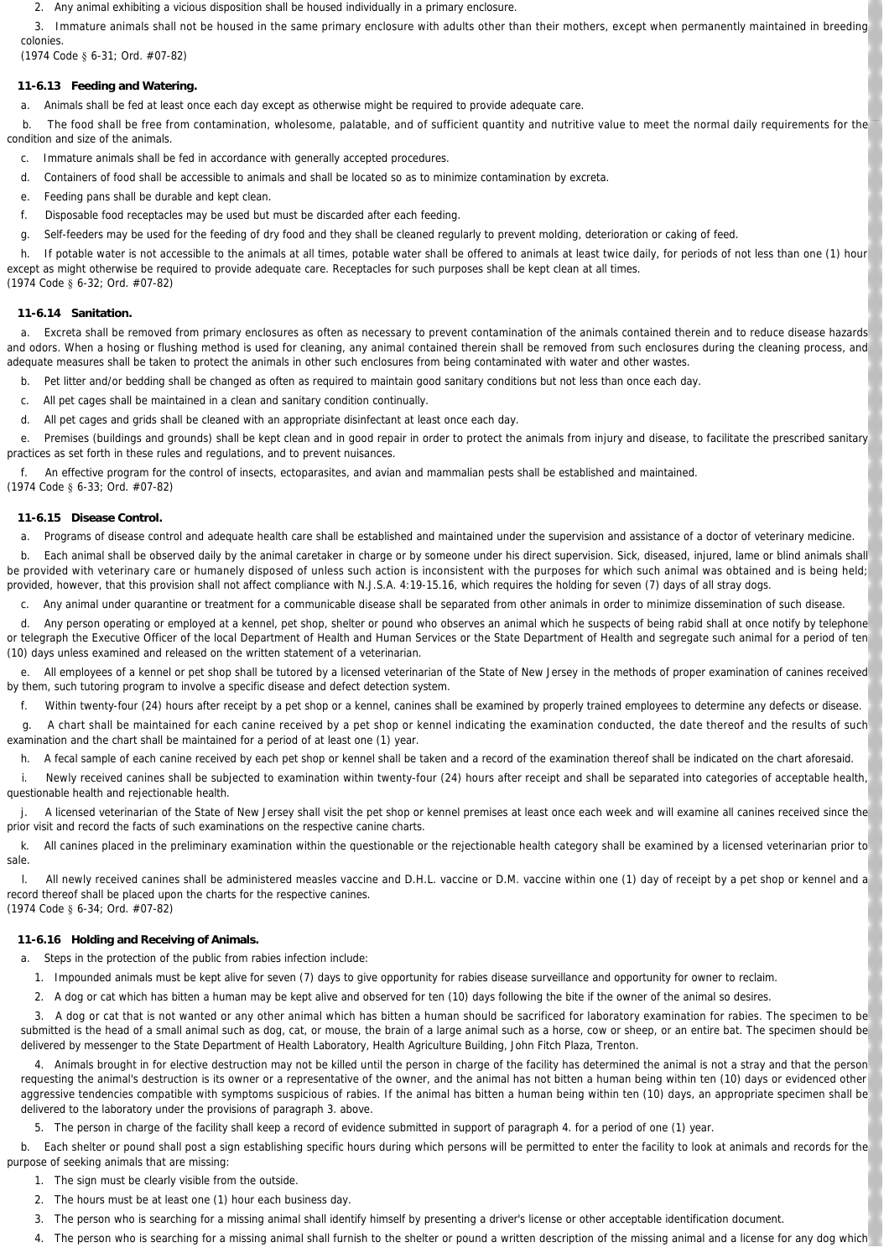Any animal exhibiting a vicious disposition shall be housed individually in a primary enclosure.

3. Immature animals shall not be housed in the same primary enclosure with adults other than their mothers, except when permanently maintained in breeding colonies.

(1974 Code § 6-31; Ord. #07-82)

## **11-6.13 Feeding and Watering.**

a. Animals shall be fed at least once each day except as otherwise might be required to provide adequate care.

 b. The food shall be free from contamination, wholesome, palatable, and of sufficient quantity and nutritive value to meet the normal daily requirements for the condition and size of the animals.

- c. Immature animals shall be fed in accordance with generally accepted procedures.
- d. Containers of food shall be accessible to animals and shall be located so as to minimize contamination by excreta.
- e. Feeding pans shall be durable and kept clean.
- f. Disposable food receptacles may be used but must be discarded after each feeding.
- g. Self-feeders may be used for the feeding of dry food and they shall be cleaned regularly to prevent molding, deterioration or caking of feed.

h. If potable water is not accessible to the animals at all times, potable water shall be offered to animals at least twice daily, for periods of not less than one (1) hour except as might otherwise be required to provide adequate care. Receptacles for such purposes shall be kept clean at all times. (1974 Code § 6-32; Ord. #07-82)

## **11-6.14 Sanitation.**

 a. Excreta shall be removed from primary enclosures as often as necessary to prevent contamination of the animals contained therein and to reduce disease hazards and odors. When a hosing or flushing method is used for cleaning, any animal contained therein shall be removed from such enclosures during the cleaning process, and adequate measures shall be taken to protect the animals in other such enclosures from being contaminated with water and other wastes.

- b. Pet litter and/or bedding shall be changed as often as required to maintain good sanitary conditions but not less than once each day.
- c. All pet cages shall be maintained in a clean and sanitary condition continually.
- d. All pet cages and grids shall be cleaned with an appropriate disinfectant at least once each day.

 e. Premises (buildings and grounds) shall be kept clean and in good repair in order to protect the animals from injury and disease, to facilitate the prescribed sanitary practices as set forth in these rules and regulations, and to prevent nuisances.

f. An effective program for the control of insects, ectoparasites, and avian and mammalian pests shall be established and maintained.

(1974 Code § 6-33; Ord. #07-82)

### **11-6.15 Disease Control.**

a. Programs of disease control and adequate health care shall be established and maintained under the supervision and assistance of a doctor of veterinary medicine.

b. Each animal shall be observed daily by the animal caretaker in charge or by someone under his direct supervision. Sick, diseased, injured, lame or blind animals shall be provided with veterinary care or humanely disposed of unless such action is inconsistent with the purposes for which such animal was obtained and is being held; provided, however, that this provision shall not affect compliance with N.J.S.A. 4:19-15.16, which requires the holding for seven (7) days of all stray dogs.

c. Any animal under quarantine or treatment for a communicable disease shall be separated from other animals in order to minimize dissemination of such disease.

 d. Any person operating or employed at a kennel, pet shop, shelter or pound who observes an animal which he suspects of being rabid shall at once notify by telephone or telegraph the Executive Officer of the local Department of Health and Human Services or the State Department of Health and segregate such animal for a period of ten (10) days unless examined and released on the written statement of a veterinarian.

 e. All employees of a kennel or pet shop shall be tutored by a licensed veterinarian of the State of New Jersey in the methods of proper examination of canines received by them, such tutoring program to involve a specific disease and defect detection system.

f. Within twenty-four (24) hours after receipt by a pet shop or a kennel, canines shall be examined by properly trained employees to determine any defects or disease.

 g. A chart shall be maintained for each canine received by a pet shop or kennel indicating the examination conducted, the date thereof and the results of such examination and the chart shall be maintained for a period of at least one (1) year.

h. A fecal sample of each canine received by each pet shop or kennel shall be taken and a record of the examination thereof shall be indicated on the chart aforesaid.

i. Newly received canines shall be subjected to examination within twenty-four (24) hours after receipt and shall be separated into categories of acceptable health, questionable health and rejectionable health.

A licensed veterinarian of the State of New Jersey shall visit the pet shop or kennel premises at least once each week and will examine all canines received since the prior visit and record the facts of such examinations on the respective canine charts.

k. All canines placed in the preliminary examination within the questionable or the rejectionable health category shall be examined by a licensed veterinarian prior to sale.

l. All newly received canines shall be administered measles vaccine and D.H.L. vaccine or D.M. vaccine within one (1) day of receipt by a pet shop or kennel and a record thereof shall be placed upon the charts for the respective canines. (1974 Code § 6-34; Ord. #07-82)

## **11-6.16 Holding and Receiving of Animals.**

a. Steps in the protection of the public from rabies infection include:

1. Impounded animals must be kept alive for seven (7) days to give opportunity for rabies disease surveillance and opportunity for owner to reclaim.

2. A dog or cat which has bitten a human may be kept alive and observed for ten (10) days following the bite if the owner of the animal so desires.

3. A dog or cat that is not wanted or any other animal which has bitten a human should be sacrificed for laboratory examination for rabies. The specimen to be submitted is the head of a small animal such as dog, cat, or mouse, the brain of a large animal such as a horse, cow or sheep, or an entire bat. The specimen should be delivered by messenger to the State Department of Health Laboratory, Health Agriculture Building, John Fitch Plaza, Trenton.

4. Animals brought in for elective destruction may not be killed until the person in charge of the facility has determined the animal is not a stray and that the person requesting the animal's destruction is its owner or a representative of the owner, and the animal has not bitten a human being within ten (10) days or evidenced other aggressive tendencies compatible with symptoms suspicious of rabies. If the animal has bitten a human being within ten (10) days, an appropriate specimen shall be delivered to the laboratory under the provisions of paragraph 3. above.

5. The person in charge of the facility shall keep a record of evidence submitted in support of paragraph 4. for a period of one (1) year.

b. Each shelter or pound shall post a sign establishing specific hours during which persons will be permitted to enter the facility to look at animals and records for the purpose of seeking animals that are missing:

- The sign must be clearly visible from the outside
- 2. The hours must be at least one (1) hour each business day.
- 3. The person who is searching for a missing animal shall identify himself by presenting a driver's license or other acceptable identification document.
- 4. The person who is searching for a missing animal shall furnish to the shelter or pound a written description of the missing animal and a license for any dog which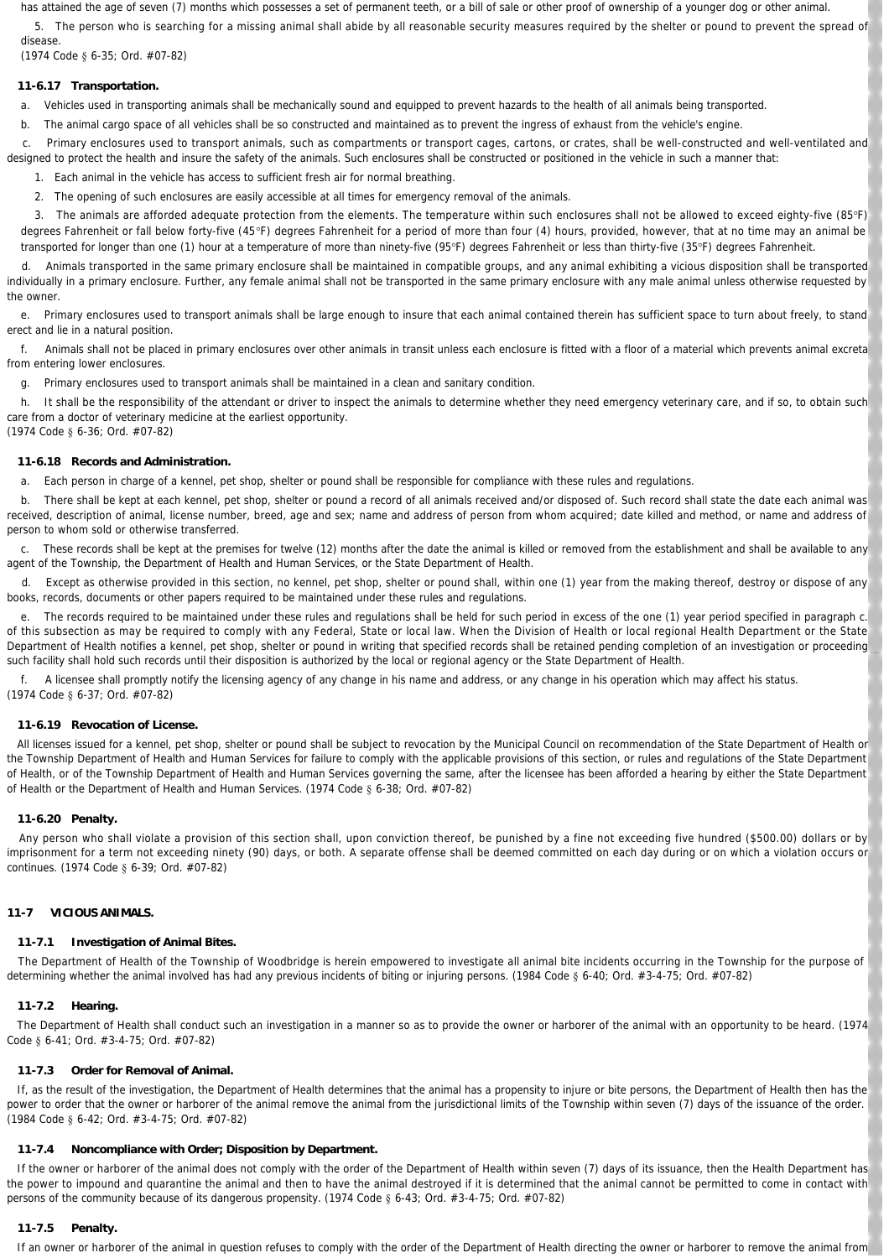has attained the age of seven (7) months which possesses a set of permanent teeth, or a bill of sale or other proof of ownership of a younger dog or other animal.

5. The person who is searching for a missing animal shall abide by all reasonable security measures required by the shelter or pound to prevent the spread of disease.

(1974 Code § 6-35; Ord. #07-82)

## **11-6.17 Transportation.**

a. Vehicles used in transporting animals shall be mechanically sound and equipped to prevent hazards to the health of all animals being transported.

b. The animal cargo space of all vehicles shall be so constructed and maintained as to prevent the ingress of exhaust from the vehicle's engine.

 c. Primary enclosures used to transport animals, such as compartments or transport cages, cartons, or crates, shall be well-constructed and well-ventilated and designed to protect the health and insure the safety of the animals. Such enclosures shall be constructed or positioned in the vehicle in such a manner that:

1. Each animal in the vehicle has access to sufficient fresh air for normal breathing.

2. The opening of such enclosures are easily accessible at all times for emergency removal of the animals.

3. The animals are afforded adequate protection from the elements. The temperature within such enclosures shall not be allowed to exceed eighty-five (85°F) degrees Fahrenheit or fall below forty-five (45°F) degrees Fahrenheit for a period of more than four (4) hours, provided, however, that at no time may an animal be transported for longer than one (1) hour at a temperature of more than ninety-five (95°F) degrees Fahrenheit or less than thirty-five (35°F) degrees Fahrenheit.

 d. Animals transported in the same primary enclosure shall be maintained in compatible groups, and any animal exhibiting a vicious disposition shall be transported individually in a primary enclosure. Further, any female animal shall not be transported in the same primary enclosure with any male animal unless otherwise requested by the owner.

 e. Primary enclosures used to transport animals shall be large enough to insure that each animal contained therein has sufficient space to turn about freely, to stand erect and lie in a natural position.

 f. Animals shall not be placed in primary enclosures over other animals in transit unless each enclosure is fitted with a floor of a material which prevents animal excreta from entering lower enclosures.

g. Primary enclosures used to transport animals shall be maintained in a clean and sanitary condition.

h. It shall be the responsibility of the attendant or driver to inspect the animals to determine whether they need emergency veterinary care, and if so, to obtain such care from a doctor of veterinary medicine at the earliest opportunity. (1974 Code § 6-36; Ord. #07-82)

### **11-6.18 Records and Administration.**

a. Each person in charge of a kennel, pet shop, shelter or pound shall be responsible for compliance with these rules and regulations.

 b. There shall be kept at each kennel, pet shop, shelter or pound a record of all animals received and/or disposed of. Such record shall state the date each animal was received, description of animal, license number, breed, age and sex; name and address of person from whom acquired; date killed and method, or name and address of person to whom sold or otherwise transferred.

 c. These records shall be kept at the premises for twelve (12) months after the date the animal is killed or removed from the establishment and shall be available to any agent of the Township, the Department of Health and Human Services, or the State Department of Health.

 d. Except as otherwise provided in this section, no kennel, pet shop, shelter or pound shall, within one (1) year from the making thereof, destroy or dispose of any books, records, documents or other papers required to be maintained under these rules and regulations.

 e. The records required to be maintained under these rules and regulations shall be held for such period in excess of the one (1) year period specified in paragraph c. of this subsection as may be required to comply with any Federal, State or local law. When the Division of Health or local regional Health Department or the State Department of Health notifies a kennel, pet shop, shelter or pound in writing that specified records shall be retained pending completion of an investigation or proceeding such facility shall hold such records until their disposition is authorized by the local or regional agency or the State Department of Health.

 f. A licensee shall promptly notify the licensing agency of any change in his name and address, or any change in his operation which may affect his status. (1974 Code § 6-37; Ord. #07-82)

### **11-6.19 Revocation of License.**

 All licenses issued for a kennel, pet shop, shelter or pound shall be subject to revocation by the Municipal Council on recommendation of the State Department of Health or the Township Department of Health and Human Services for failure to comply with the applicable provisions of this section, or rules and regulations of the State Department of Health, or of the Township Department of Health and Human Services governing the same, after the licensee has been afforded a hearing by either the State Department of Health or the Department of Health and Human Services. (1974 Code § 6-38; Ord. #07-82)

### **11-6.20 Penalty.**

 Any person who shall violate a provision of this section shall, upon conviction thereof, be punished by a fine not exceeding five hundred (\$500.00) dollars or by imprisonment for a term not exceeding ninety (90) days, or both. A separate offense shall be deemed committed on each day during or on which a violation occurs or continues. (1974 Code § 6-39; Ord. #07-82)

### **11-7 VICIOUS ANIMALS.**

### **11-7.1 Investigation of Animal Bites.**

 The Department of Health of the Township of Woodbridge is herein empowered to investigate all animal bite incidents occurring in the Township for the purpose of determining whether the animal involved has had any previous incidents of biting or injuring persons. (1984 Code § 6-40; Ord. #3-4-75; Ord. #07-82)

### **11-7.2 Hearing.**

 The Department of Health shall conduct such an investigation in a manner so as to provide the owner or harborer of the animal with an opportunity to be heard. (1974 Code § 6-41; Ord. #3-4-75; Ord. #07-82)

### **11-7.3 Order for Removal of Animal.**

 If, as the result of the investigation, the Department of Health determines that the animal has a propensity to injure or bite persons, the Department of Health then has the power to order that the owner or harborer of the animal remove the animal from the jurisdictional limits of the Township within seven (7) days of the issuance of the order. (1984 Code § 6-42; Ord. #3-4-75; Ord. #07-82)

### **11-7.4 Noncompliance with Order; Disposition by Department.**

If the owner or harborer of the animal does not comply with the order of the Department of Health within seven (7) days of its issuance, then the Health Department has the power to impound and quarantine the animal and then to have the animal destroyed if it is determined that the animal cannot be permitted to come in contact with persons of the community because of its dangerous propensity. (1974 Code § 6-43; Ord. #3-4-75; Ord. #07-82)

### **11-7.5 Penalty.**

If an owner or harborer of the animal in question refuses to comply with the order of the Department of Health directing the owner or harborer to remove the animal from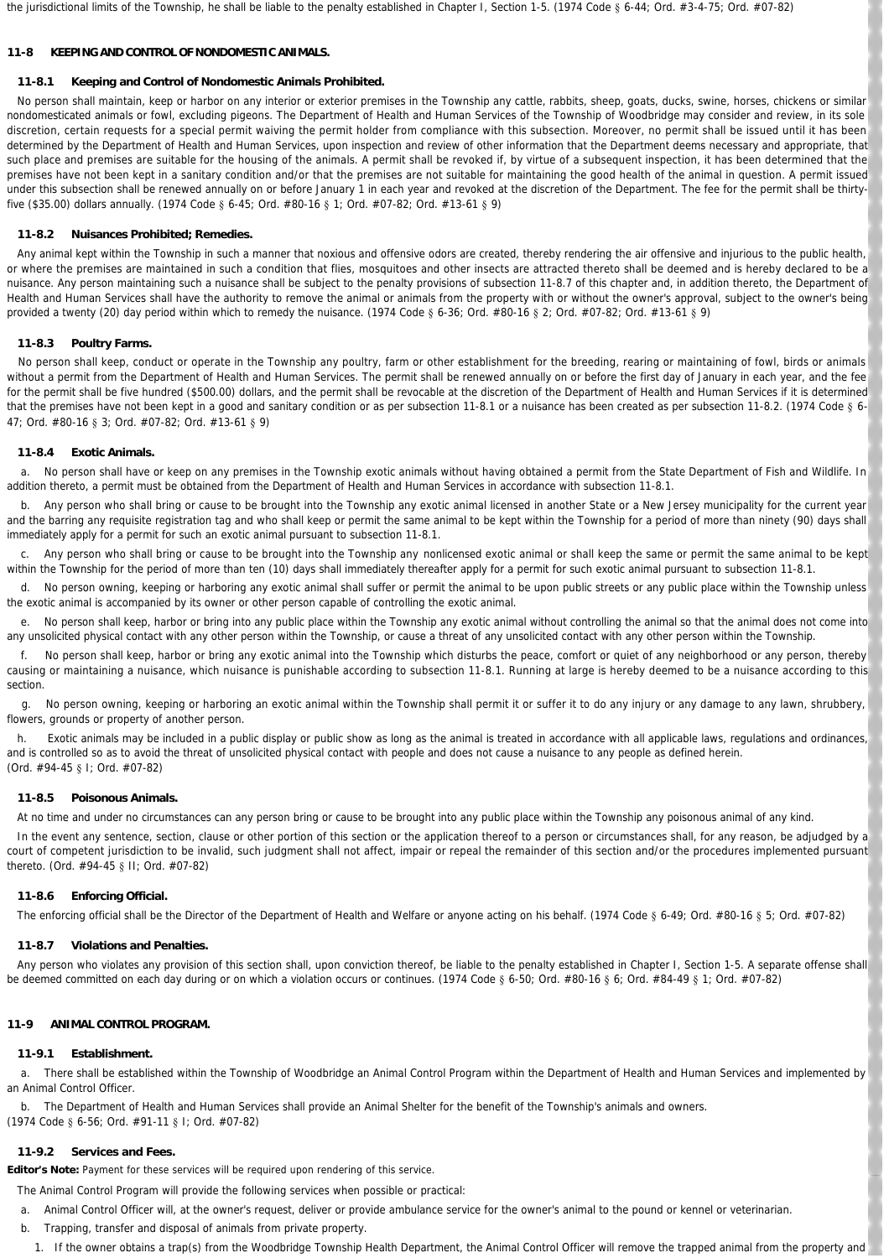the jurisdictional limits of the Township, he shall be liable to the penalty established in Chapter I, Section 1-5. (1974 Code § 6-44; Ord. #3-4-75; Ord. #07-82)

#### **11-8 KEEPING AND CONTROL OF NONDOMESTIC ANIMALS.**

#### **11-8.1 Keeping and Control of Nondomestic Animals Prohibited.**

No person shall maintain, keep or harbor on any interior or exterior premises in the Township any cattle, rabbits, sheep, goats, ducks, swine, horses, chickens or similar nondomesticated animals or fowl, excluding pigeons. The Department of Health and Human Services of the Township of Woodbridge may consider and review, in its sole discretion, certain requests for a special permit waiving the permit holder from compliance with this subsection. Moreover, no permit shall be issued until it has been determined by the Department of Health and Human Services, upon inspection and review of other information that the Department deems necessary and appropriate, that such place and premises are suitable for the housing of the animals. A permit shall be revoked if, by virtue of a subsequent inspection, it has been determined that the premises have not been kept in a sanitary condition and/or that the premises are not suitable for maintaining the good health of the animal in question. A permit issued under this subsection shall be renewed annually on or before January 1 in each year and revoked at the discretion of the Department. The fee for the permit shall be thirtyfive (\$35.00) dollars annually. (1974 Code § 6-45; Ord. #80-16 § 1; Ord. #07-82; Ord. #13-61 § 9)

#### **11-8.2 Nuisances Prohibited; Remedies.**

 Any animal kept within the Township in such a manner that noxious and offensive odors are created, thereby rendering the air offensive and injurious to the public health, or where the premises are maintained in such a condition that flies, mosquitoes and other insects are attracted thereto shall be deemed and is hereby declared to be a nuisance. Any person maintaining such a nuisance shall be subject to the penalty provisions of subsection 11-8.7 of this chapter and, in addition thereto, the Department of Health and Human Services shall have the authority to remove the animal or animals from the property with or without the owner's approval, subject to the owner's being provided a twenty (20) day period within which to remedy the nuisance. (1974 Code § 6-36; Ord. #80-16 § 2; Ord. #07-82; Ord. #13-61 § 9)

#### **11-8.3 Poultry Farms.**

 No person shall keep, conduct or operate in the Township any poultry, farm or other establishment for the breeding, rearing or maintaining of fowl, birds or animals without a permit from the Department of Health and Human Services. The permit shall be renewed annually on or before the first day of January in each year, and the fee for the permit shall be five hundred (\$500.00) dollars, and the permit shall be revocable at the discretion of the Department of Health and Human Services if it is determined that the premises have not been kept in a good and sanitary condition or as per subsection 11-8.1 or a nuisance has been created as per subsection 11-8.2. (1974 Code § 6-47; Ord. #80-16 § 3; Ord. #07-82; Ord. #13-61 § 9)

#### **11-8.4 Exotic Animals.**

 a. No person shall have or keep on any premises in the Township exotic animals without having obtained a permit from the State Department of Fish and Wildlife. In addition thereto, a permit must be obtained from the Department of Health and Human Services in accordance with subsection 11-8.1.

b. Any person who shall bring or cause to be brought into the Township any exotic animal licensed in another State or a New Jersey municipality for the current year and the barring any requisite registration tag and who shall keep or permit the same animal to be kept within the Township for a period of more than ninety (90) days shall immediately apply for a permit for such an exotic animal pursuant to subsection 11-8.1.

 c. Any person who shall bring or cause to be brought into the Township any nonlicensed exotic animal or shall keep the same or permit the same animal to be kept within the Township for the period of more than ten (10) days shall immediately thereafter apply for a permit for such exotic animal pursuant to subsection 11-8.1.

 d. No person owning, keeping or harboring any exotic animal shall suffer or permit the animal to be upon public streets or any public place within the Township unless the exotic animal is accompanied by its owner or other person capable of controlling the exotic animal.

e. No person shall keep, harbor or bring into any public place within the Township any exotic animal without controlling the animal so that the animal does not come into any unsolicited physical contact with any other person within the Township, or cause a threat of any unsolicited contact with any other person within the Township

 f. No person shall keep, harbor or bring any exotic animal into the Township which disturbs the peace, comfort or quiet of any neighborhood or any person, thereby causing or maintaining a nuisance, which nuisance is punishable according to subsection 11-8.1. Running at large is hereby deemed to be a nuisance according to this section.

 g. No person owning, keeping or harboring an exotic animal within the Township shall permit it or suffer it to do any injury or any damage to any lawn, shrubbery, flowers, grounds or property of another person.

h. Exotic animals may be included in a public display or public show as long as the animal is treated in accordance with all applicable laws, regulations and ordinances and is controlled so as to avoid the threat of unsolicited physical contact with people and does not cause a nuisance to any people as defined herein. (Ord. #94-45 § I; Ord. #07-82)

#### **11-8.5 Poisonous Animals.**

At no time and under no circumstances can any person bring or cause to be brought into any public place within the Township any poisonous animal of any kind.

In the event any sentence, section, clause or other portion of this section or the application thereof to a person or circumstances shall, for any reason, be adjudged by a court of competent jurisdiction to be invalid, such judgment shall not affect, impair or repeal the remainder of this section and/or the procedures implemented pursuant thereto. (Ord. #94-45 § II; Ord. #07-82)

#### **11-8.6 Enforcing Official.**

The enforcing official shall be the Director of the Department of Health and Welfare or anyone acting on his behalf. (1974 Code § 6-49; Ord. #80-16 § 5; Ord. #07-82)

#### **11-8.7 Violations and Penalties.**

Any person who violates any provision of this section shall, upon conviction thereof, be liable to the penalty established in Chapter I, Section 1-5. A separate offense shall be deemed committed on each day during or on which a violation occurs or continues. (1974 Code § 6-50; Ord. #80-16 § 6; Ord. #84-49 § 1; Ord. #07-82)

#### **11-9 ANIMAL CONTROL PROGRAM.**

#### **11-9.1 Establishment.**

 a. There shall be established within the Township of Woodbridge an Animal Control Program within the Department of Health and Human Services and implemented by an Animal Control Officer.

b. The Department of Health and Human Services shall provide an Animal Shelter for the benefit of the Township's animals and owners.

(1974 Code § 6-56; Ord. #91-11 § I; Ord. #07-82)

### **11-9.2 Services and Fees.**

**Editor's Note:** Payment for these services will be required upon rendering of this service.

The Animal Control Program will provide the following services when possible or practical:

- a. Animal Control Officer will, at the owner's request, deliver or provide ambulance service for the owner's animal to the pound or kennel or veterinarian.
- b. Trapping, transfer and disposal of animals from private property.
	- 1. If the owner obtains a trap(s) from the Woodbridge Township Health Department, the Animal Control Officer will remove the trapped animal from the property and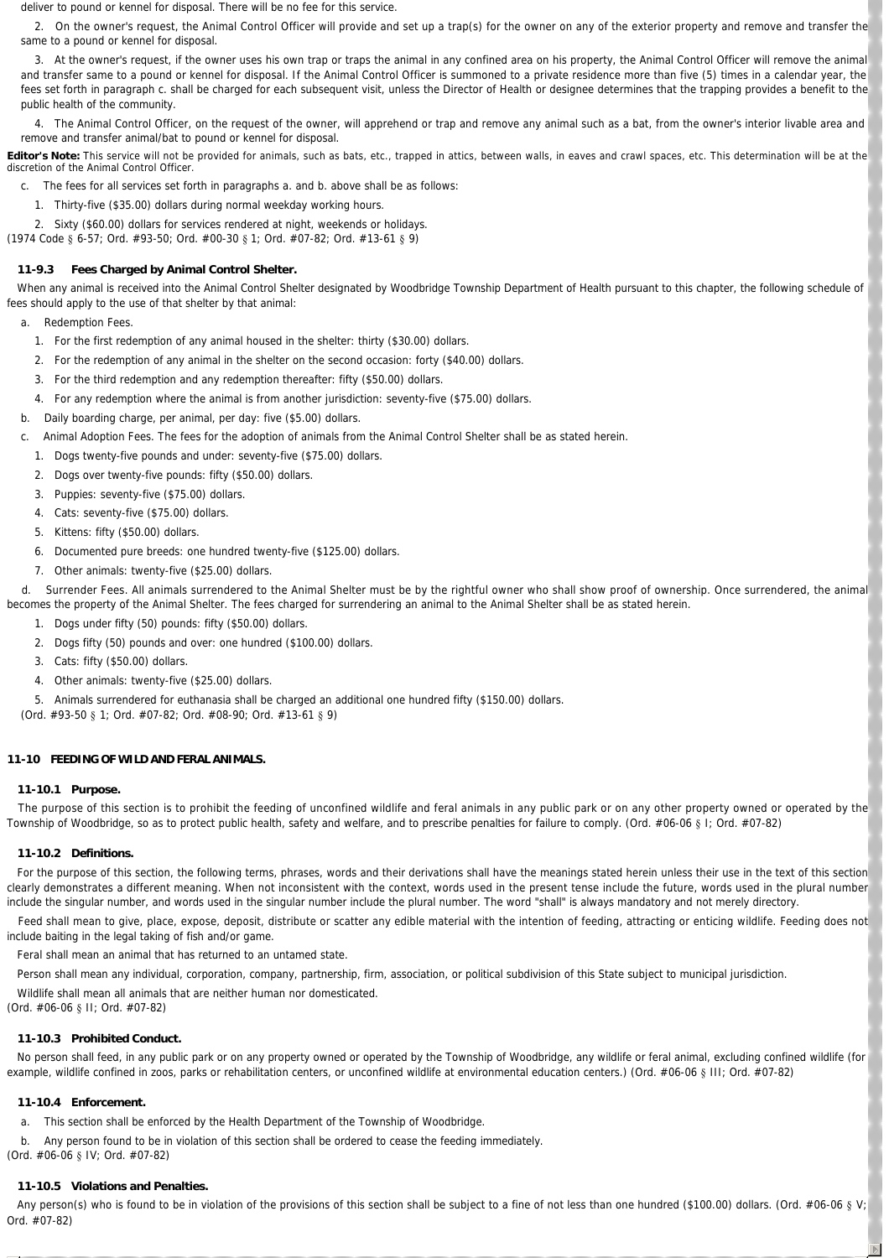deliver to pound or kennel for disposal. There will be no fee for this service.

2. On the owner's request, the Animal Control Officer will provide and set up a trap(s) for the owner on any of the exterior property and remove and transfer the same to a pound or kennel for disposal.

3. At the owner's request, if the owner uses his own trap or traps the animal in any confined area on his property, the Animal Control Officer will remove the animal and transfer same to a pound or kennel for disposal. If the Animal Control Officer is summoned to a private residence more than five (5) times in a calendar year, the fees set forth in paragraph c. shall be charged for each subsequent visit, unless the Director of Health or designee determines that the trapping provides a benefit to the public health of the community.

The Animal Control Officer, on the request of the owner, will apprehend or trap and remove any animal such as a bat, from the owner's interior livable area and remove and transfer animal/bat to pound or kennel for disposal.

Editor's Note: This service will not be provided for animals, such as bats, etc., trapped in attics, between walls, in eaves and crawl spaces, etc. This determination will be at the discretion of the Animal Control Officer.

c. The fees for all services set forth in paragraphs a. and b. above shall be as follows:

1. Thirty-five (\$35.00) dollars during normal weekday working hours.

2. Sixty (\$60.00) dollars for services rendered at night, weekends or holidays.

(1974 Code § 6-57; Ord. #93-50; Ord. #00-30 § 1; Ord. #07-82; Ord. #13-61 § 9)

### **11-9.3 Fees Charged by Animal Control Shelter.**

When any animal is received into the Animal Control Shelter designated by Woodbridge Township Department of Health pursuant to this chapter, the following schedule of fees should apply to the use of that shelter by that animal:

- a. *Redemption Fees.*
	- 1. For the first redemption of any animal housed in the shelter: thirty (\$30.00) dollars.
	- 2. For the redemption of any animal in the shelter on the second occasion: forty (\$40.00) dollars.
	- 3. For the third redemption and any redemption thereafter: fifty (\$50.00) dollars.
	- 4. For any redemption where the animal is from another jurisdiction: seventy-five (\$75.00) dollars.
- b. Daily boarding charge, per animal, per day: five (\$5.00) dollars.
- c. *Animal Adoption Fees.* The fees for the adoption of animals from the Animal Control Shelter shall be as stated herein.
	- 1. Dogs twenty-five pounds and under: seventy-five (\$75.00) dollars.
	- 2. Dogs over twenty-five pounds: fifty (\$50.00) dollars.
	- 3. Puppies: seventy-five (\$75.00) dollars.
	- 4. Cats: seventy-five (\$75.00) dollars.
	- 5. Kittens: fifty (\$50.00) dollars.
	- 6. Documented pure breeds: one hundred twenty-five (\$125.00) dollars.
	- 7. Other animals: twenty-five (\$25.00) dollars.

 d. *Surrender Fees.* All animals surrendered to the Animal Shelter must be by the rightful owner who shall show proof of ownership. Once surrendered, the animal becomes the property of the Animal Shelter. The fees charged for surrendering an animal to the Animal Shelter shall be as stated herein.

- 1. Dogs under fifty (50) pounds: fifty (\$50.00) dollars.
- 2. Dogs fifty (50) pounds and over: one hundred (\$100.00) dollars.
- 3. Cats: fifty (\$50.00) dollars.
- 4. Other animals: twenty-five (\$25.00) dollars.
- 5. Animals surrendered for euthanasia shall be charged an additional one hundred fifty (\$150.00) dollars.

(Ord. #93-50 § 1; Ord. #07-82; Ord. #08-90; Ord. #13-61 § 9)

#### **11-10 FEEDING OF WILD AND FERAL ANIMALS.**

#### **11-10.1 Purpose.**

 The purpose of this section is to prohibit the feeding of unconfined wildlife and feral animals in any public park or on any other property owned or operated by the Township of Woodbridge, so as to protect public health, safety and welfare, and to prescribe penalties for failure to comply. (Ord. #06-06 § 1; Ord. #07-82)

#### **11-10.2 Definitions.**

For the purpose of this section, the following terms, phrases, words and their derivations shall have the meanings stated herein unless their use in the text of this section clearly demonstrates a different meaning. When not inconsistent with the context, words used in the present tense include the future, words used in the plural number include the singular number, and words used in the singular number include the plural number. The word "shall" is always mandatory and not merely directory.

Feed shall mean to give, place, expose, deposit, distribute or scatter any edible material with the intention of feeding, attracting or enticing wildlife. Feeding does not include baiting in the legal taking of fish and/or game.

*Feral* shall mean an animal that has returned to an untamed state.

*Person* shall mean any individual, corporation, company, partnership, firm, association, or political subdivision of this State subject to municipal jurisdiction.

*Wildlife* shall mean all animals that are neither human nor domesticated.

(Ord. #06-06 § II; Ord. #07-82)

#### **11-10.3 Prohibited Conduct.**

No person shall feed, in any public park or on any property owned or operated by the Township of Woodbridge, any wildlife or feral animal, excluding confined wildlife (for example, wildlife confined in zoos, parks or rehabilitation centers, or unconfined wildlife at environmental education centers.) (Ord. #06-06 § III; Ord. #07-82)

#### **11-10.4 Enforcement.**

- a. This section shall be enforced by the Health Department of the Township of Woodbridge.
- b. Any person found to be in violation of this section shall be ordered to cease the feeding immediately.

(Ord. #06-06 § IV; Ord. #07-82)

## **11-10.5 Violations and Penalties.**

Any person(s) who is found to be in violation of the provisions of this section shall be subject to a fine of not less than one hundred (\$100.00) dollars. (Ord. #06-06 § V; Ord. #07-82)

 $\overline{\mathbb{D}}$